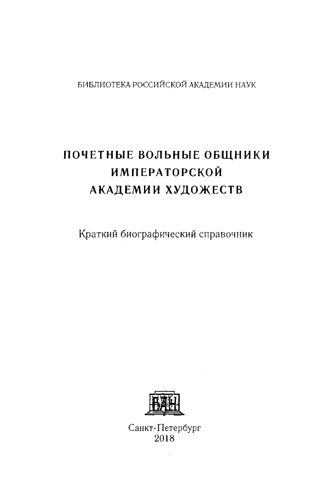## БИБЛИОТЕКА РОССИЙСКОЙ АКАДЕМИИ НАУК

## ПОЧЕТНЫЕ ВОЛЬНЫЕ ОБЩНИКИ **ИМПЕРАТОРСКОЙ** АКАДЕМИИ ХУДОЖЕСТВ

Краткий биографический справочник



Санкт-Петербург 2018

 $\cdot$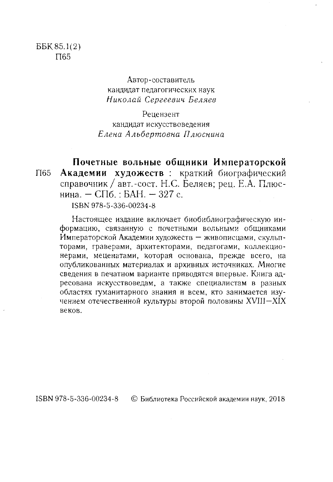Автор-составитель кандидат педагогических наук Николай Сергеевич Беляев

Рецензент кандидат искусствоведения Елена Альбертовна Плюснина

Почетные вольные общники Императорской Академии художеств : краткий биографический  $\Pi$ 65 справочник / авт.-сост. Н.С. Беляев; рец. Е.А. Плюснина. - СПб. : БАН. - 327 с.

ISBN 978-5-336-00234-8

Настоящее издание включает биобиблиографическую информацию, связанную с почетными вольными общниками Императорской Академии художеств - живописцами, скульпторами, граверами, архитекторами, педагогами, коллекционерами, меценатами, которая основана, прежде всего, на опубликованных материалах и архивных источниках. Многие сведения в печатном варианте приводятся впервые. Книга адресована искусствоведам, а также специалистам в разных областях гуманитарного знания и всем, кто занимается изучением отечественной культуры второй половины XVIII-XIX веков.

ISBN 978-5-336-00234-8 © Библиотека Российской академии наук, 2018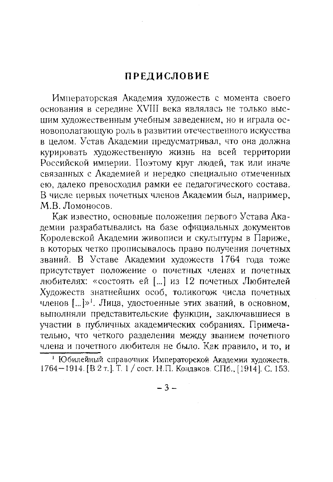## **ПРЕДИСЛОВИЕ**

Императорская Академия художеств с момента своего основания в середине XVIII века являлась не только высшим художественным учебным заведением, но и играла основополагающую роль в развитии отечественного искусства в целом. Устав Академии предусматривал, что она должна курировать художественную жизнь на всей территории Российской империи. Поэтому круг людей, так или иначе связанных с Академией и нередко специально отмеченных ею, далеко превосходил рамки ее педагогического состава. В числе первых почетных членов Академии был, например, М.В. Ломоносов.

Как известно, основные положения первого Устава Академии разрабатывались на базе официальных документов Королевской Академии живописи и скульптуры в Париже, в которых четко прописывалось право получения почетных званий. В Уставе Академии художеств 1764 года тоже присутствует положение о почетных членах и почетных любителях: «состоять ей [...] из 12 почетных Любителей Художеств знатнейших особ, толикогож числа почетных членов [...]»<sup>1</sup>. Лица, удостоенные этих званий, в основном, выполняли представительские функции, заключавшиеся в участии в публичных академических собраниях. Примечательно, что четкого разделения между званием почетного члена и почетного любителя не было. Как правило, и то, и

 $-3-$ 

<sup>1</sup> Юбилейный справочник Императорской Академии художеств. 1764-1914. [В 2 т.]. Т. 1 / сост. Н.П. Кондаков. СПб., [1914]. С. 153.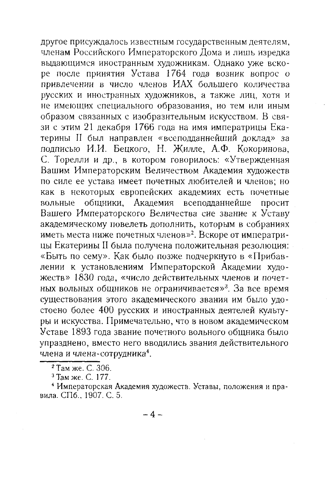другое присуждалось известным государственным деятелям, членам Российского Императорского Дома и лишь изредка выдающимся иностранным художникам. Однако уже вскоре после принятия Устава 1764 года возник вопрос о привлечении в число членов ИАХ большего количества русских и иностранных художников, а также лиц, хотя и не имеющих специального образования, но тем или иным образом связанных с изобразительным искусством. В связи с этим 21 декабря 1766 года на имя императрицы Екатерины II был направлен «всеподданнейший доклад» за подписью И.И. Бецкого, Н. Жилле, А.Ф. Кокоринова, С. Торелли и др., в котором говорилось: «Утвержденная Вашим Императорским Величеством Академия художеств по силе ее устава имеет почетных любителей и членов; но как в некоторых европейских академиях есть почетные вольные общники, Академия всеподданнейше просит Вашего Императорского Величества сие звание к Уставу академическому повелеть дополнить, которым в собраниях иметь места ниже почетных членов»<sup>2</sup>. Вскоре от императрицы Екатерины II была получена положительная резолюция: «Быть по сему». Как было позже подчеркнуто в «Прибавлении к установлениям Императорской Академии художеств» 1830 года, «число действительных членов и почетных вольных общников не ограничивается»<sup>3</sup>. За все время существования этого академического звания им было удостоено более 400 русских и иностранных деятелей культуры и искусства. Примечательно, что в новом академическом Уставе 1893 года звание почетного вольного общника было упразднено, вместо него вводились звания действительного члена и члена-сотрудника<sup>4</sup>.

<sup>2</sup> Там же. С. 306.

<sup>3</sup> Там же. С. 177.

<sup>4</sup> Императорская Академия художеств. Уставы, положения и правила. СПб., 1907. С. 5.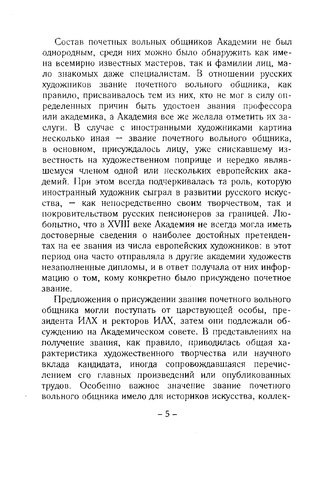Состав почетных вольных общников Академии не был однородным, среди них можно было обнаружить как имена всемирно известных мастеров, так и фамилии лиц, мало знакомых даже специалистам. В отношении русских художников звание почетного вольного общника, как правило, присваивалось тем из них, кто не мог в силу определенных причин быть удостоен звания профессора или академика, а Академия все же желала отметить их заслуги. В случае с иностранными художниками картина несколько иная - звание почетного вольного общника, в основном, присуждалось лицу, уже снискавшему известность на художественном поприще и нередко являвшемуся членом одной или нескольких европейских академий. При этом всегда подчеркивалась та роль, которую иностранный художник сыграл в развитии русского искусства, - как непосредственно своим творчеством, так и покровительством русских пенсионеров за границей. Любопытно, что в XVIII веке Академия не всегда могла иметь достоверные сведения о наиболее достойных претендентах на ее звания из числа европейских художников: в этот период она часто отправляла в другие академии художеств незаполненные дипломы, и в ответ получала от них информацию о том, кому конкретно было присуждено почетное звание.

Предложения о присуждении звания почетного вольного общника могли поступать от царствующей особы, президента ИАХ и ректоров ИАХ, затем они подлежали обсуждению на Академическом совете. В представлениях на получение звания, как правило, приводилась общая характеристика художественного творчества или научного вклада кандидата, иногда сопровождавшаяся перечислением его главных произведений или опубликованных трудов. Особенно важное значение звание почетного вольного общника имело для историков искусства, коллек-

 $-5-$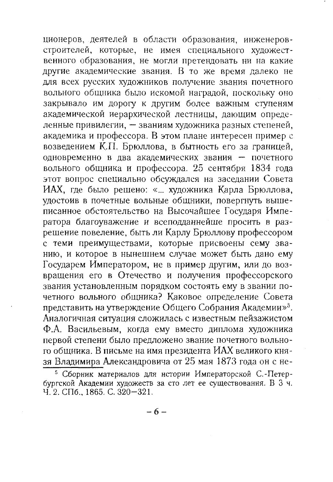ционеров, деятелей в области образования, инженеровстроителей, которые, не имея специального художественного образования, не могли претендовать ни на какие другие академические звания. В то же время далеко не для всех русских художников получение звания почетного вольного общника было искомой наградой, поскольку оно закрывало им дорогу к другим более важным ступеням академической иерархической лестницы, дающим определенные привилегии, - званиям художника разных степеней, академика и профессора. В этом плане интересен пример с возведением К.П. Брюллова, в бытность его за границей, одновременно в два академических звания - почетного вольного общника и профессора. 25 сентября 1834 года этот вопрос специально обсуждался на заседании Совета ИАХ, где было решено: «... художника Карла Брюллова, удостоив в почетные вольные общники, повергнуть вышеписанное обстоятельство на Высочайшее Государя Императора благоуважение и всеподданнейше просить в разрешение повеление, быть ли Карлу Брюллову профессором с теми преимуществами, которые присвоены сему званию, и которое в нынешнем случае может быть дано ему Государем Императором, не в пример другим, или до возвращения его в Отечество и получения профессорского звания установленным порядком состоять ему в звании почетного вольного общника? Каковое определение Совета представить на утверждение Общего Собрания Академии»<sup>5</sup>. Аналогичная ситуация сложилась с известным пейзажистом Ф.А. Васильевым, когда ему вместо диплома художника первой степени было предложено звание почетного вольного общника. В письме на имя президента ИАХ великого князя Владимира Александровича от 25 мая 1873 года он с не-

<sup>5</sup> Сборник материалов для истории Императорской С.-Петер-бургской Академии художеств за сто лет ее существования. В 3 ч. Ч. 2. СПб., 1865. С. 320-321.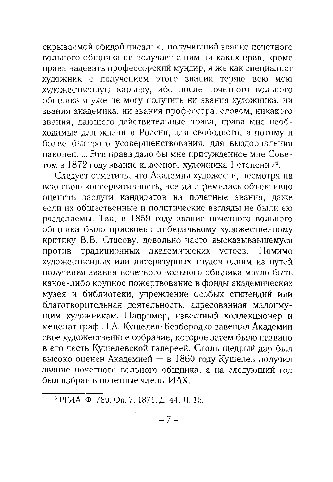скрываемой обидой писал: «...получивший звание почетного вольного общника не получает с ним ни каких прав, кроме права надевать профессорский мундир, я же как специалист художник с получением этого звания теряю всю мою<br>художник с получением этого звания теряю всю мою<br>художественную карьеру, ибо после почетного вольного общника я уже не могу получить ни звания художника, ни звания академика, ни звания профессора, словом, никакого звания, дающего действительные права, права мне необходимые для жизни в России, для свободного, а потому и более быстрого усовершенствования, для выздоровления<br>наконец. ... Эти права дало бы мне присужденное мне Сове-<br>том в 1872 году звание классного художника 1 степени»<sup>6</sup>.

Следует отметить, что Академия художеств, несмотря на всю свою консервативность, всегда стремилась объективно оценить заслуги кандидатов на почетные звания, даже если их общественные и политические взгляды не были ею разделяемы. Так, в 1859 году звание почетного вольного общника было присвоено либеральному художественному критику В.В. Стасову, довольно часто высказывавшемуся против традиционных академических устоев. Помимо художественных или литературных трудов одним из путей получения звания почетного вольного общника могло быть какое-либо крупное пожертвование в фонды академических музея и библиотеки, учреждение особых стипендий или играни системы, утражные стали системы и получительного совранная малоиму-<br>идим художникам. Например, известный коллекционер и<br>меценат граф Н.А. Кушелев-Безбородко завещал Академии свое художественное собрание, которое затем было названо<br>в его честь Кушелевской галереей. Столь щедрый дар был<br>высоко оценен Академией - в 1860 году Кушелев получил звание почетного вольного общника, а на следующий год был избран в почетные члены ИАХ.

<sup>&</sup>lt;sup>6</sup> РГИА. Ф. 789, Оп. 7, 1871, Д. 44, Л. 15.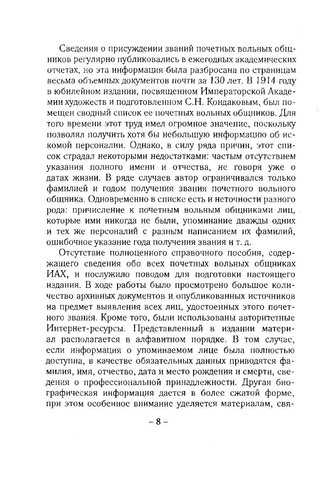Сведения о присуждении званий почетных вольных общников регулярно публиковались в ежегодных академических отчетах, но эта информация была разбросана по страницам весьма объемных документов почти за 130 лет. В 1914 году в юбилейном издании, посвященном Императорской Академии художеств и подготовленном С.Н. Кондаковым, был помещен сводный список ее почетных вольных общников. Для того времени этот труд имел огромное значение, поскольку позволял получить хотя бы небольшую информацию об искомой персоналии. Однако, в силу ряда причин, этот список страдал некоторыми недостатками: частым отсутствием указания полного имени и отчества, не говоря уже о датах жизни. В ряде случаев автор ограничивался только фамилией и годом получения звания почетного вольного общника. Одновременно в списке есть и неточности разного рода: причисление к почетным вольным общниками лиц, которые ими никогда не были, упоминание дважды одних и тех же персоналий с разным написанием их фамилий, ошибочное указание года получения звания и т. д.

Отсутствие полноценного справочного пособия, содер-<br>жащего сведения обо всех почетных вольных общниках ИАХ, и послужило поводом для подготовки настоящего издания. В ходе работы было просмотрено большое количество архивных документов и опубликованных источников на предмет выявления всех лиц, удостоенных этого почетного звания. Кроме того, были использованы авторитетные интернет-ресурсы. Представленный в издании матери-<br>ал располагается в алфавитном порядке. В том случае, если информация о упоминаемом лице была полностью<br>доступна, в качестве обязательных данных приводятся фамилия, имя, отчество, дата и место рождения и смерти, сведения о профессиональной принадлежности. Другая био-<br>графическая информация дается в более сжатой форме, при этом особенное внимание уделяется материалам, свя-

 $-8-$